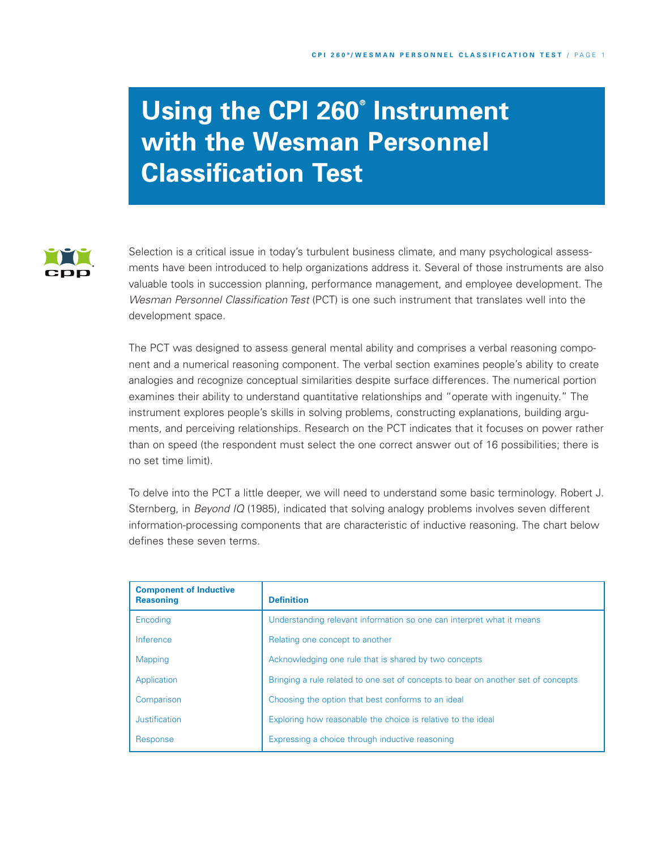# **Using the CPI 260® Instrument with the Wesman Personnel Classification Test**



Selection is a critical issue in today's turbulent business climate, and many psychological assessments have been introduced to help organizations address it. Several of those instruments are also valuable tools in succession planning, performance management, and employee development. The *Wesman Personnel Classification Test* (PCT) is one such instrument that translates well into the development space.

The PCT was designed to assess general mental ability and comprises a verbal reasoning component and a numerical reasoning component. The verbal section examines people's ability to create analogies and recognize conceptual similarities despite surface differences. The numerical portion examines their ability to understand quantitative relationships and "operate with ingenuity." The instrument explores people's skills in solving problems, constructing explanations, building arguments, and perceiving relationships. Research on the PCT indicates that it focuses on power rather than on speed (the respondent must select the one correct answer out of 16 possibilities; there is no set time limit).

To delve into the PCT a little deeper, we will need to understand some basic terminology. Robert J. Sternberg, in *Beyond IQ* (1985), indicated that solving analogy problems involves seven different information-processing components that are characteristic of inductive reasoning. The chart below defines these seven terms.

| <b>Component of Inductive</b><br><b>Reasoning</b> | <b>Definition</b>                                                                 |  |
|---------------------------------------------------|-----------------------------------------------------------------------------------|--|
| Encoding                                          | Understanding relevant information so one can interpret what it means             |  |
| Inference                                         | Relating one concept to another                                                   |  |
| Mapping                                           | Acknowledging one rule that is shared by two concepts                             |  |
| Application                                       | Bringing a rule related to one set of concepts to bear on another set of concepts |  |
| Comparison                                        | Choosing the option that best conforms to an ideal                                |  |
| Justification                                     | Exploring how reasonable the choice is relative to the ideal                      |  |
| Response                                          | Expressing a choice through inductive reasoning                                   |  |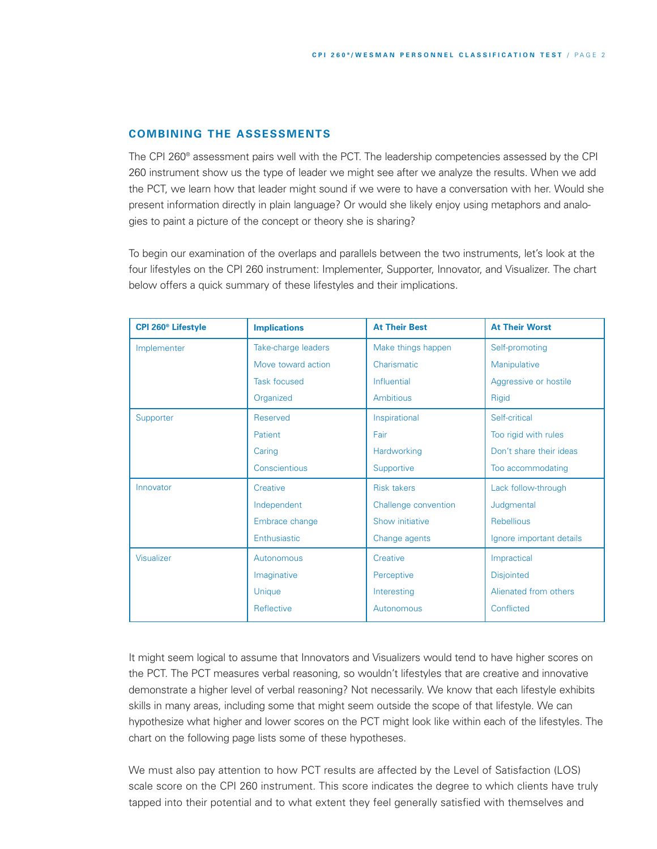## **COMBINING THE ASSESSMENTS**

The CPI 260® assessment pairs well with the PCT. The leadership competencies assessed by the CPI 260 instrument show us the type of leader we might see after we analyze the results. When we add the PCT, we learn how that leader might sound if we were to have a conversation with her. Would she present information directly in plain language? Or would she likely enjoy using metaphors and analogies to paint a picture of the concept or theory she is sharing?

To begin our examination of the overlaps and parallels between the two instruments, let's look at the four lifestyles on the CPI 260 instrument: Implementer, Supporter, Innovator, and Visualizer. The chart below offers a quick summary of these lifestyles and their implications.

| CPI 260 <sup>®</sup> Lifestyle | <b>Implications</b> | <b>At Their Best</b> | <b>At Their Worst</b>    |
|--------------------------------|---------------------|----------------------|--------------------------|
| Implementer                    | Take-charge leaders | Make things happen   | Self-promoting           |
|                                | Move toward action  | Charismatic          | Manipulative             |
|                                | <b>Task focused</b> | Influential          | Aggressive or hostile    |
|                                | Organized           | <b>Ambitious</b>     | Rigid                    |
| Supporter                      | <b>Reserved</b>     | Inspirational        | Self-critical            |
|                                | Patient             | Fair                 | Too rigid with rules     |
|                                | Caring              | Hardworking          | Don't share their ideas  |
|                                | Conscientious       | Supportive           | Too accommodating        |
| Innovator                      | Creative            | <b>Risk takers</b>   | Lack follow-through      |
|                                | Independent         | Challenge convention | Judgmental               |
|                                | Embrace change      | Show initiative      | Rebellious               |
|                                | Enthusiastic        | Change agents        | Ignore important details |
| Visualizer                     | Autonomous          | Creative             | Impractical              |
|                                | Imaginative         | Perceptive           | <b>Disjointed</b>        |
|                                | Unique              | Interesting          | Alienated from others    |
|                                | Reflective          | Autonomous           | Conflicted               |

It might seem logical to assume that Innovators and Visualizers would tend to have higher scores on the PCT. The PCT measures verbal reasoning, so wouldn't lifestyles that are creative and innovative demonstrate a higher level of verbal reasoning? Not necessarily. We know that each lifestyle exhibits skills in many areas, including some that might seem outside the scope of that lifestyle. We can hypothesize what higher and lower scores on the PCT might look like within each of the lifestyles. The chart on the following page lists some of these hypotheses.

We must also pay attention to how PCT results are affected by the Level of Satisfaction (LOS) scale score on the CPI 260 instrument. This score indicates the degree to which clients have truly tapped into their potential and to what extent they feel generally satisfied with themselves and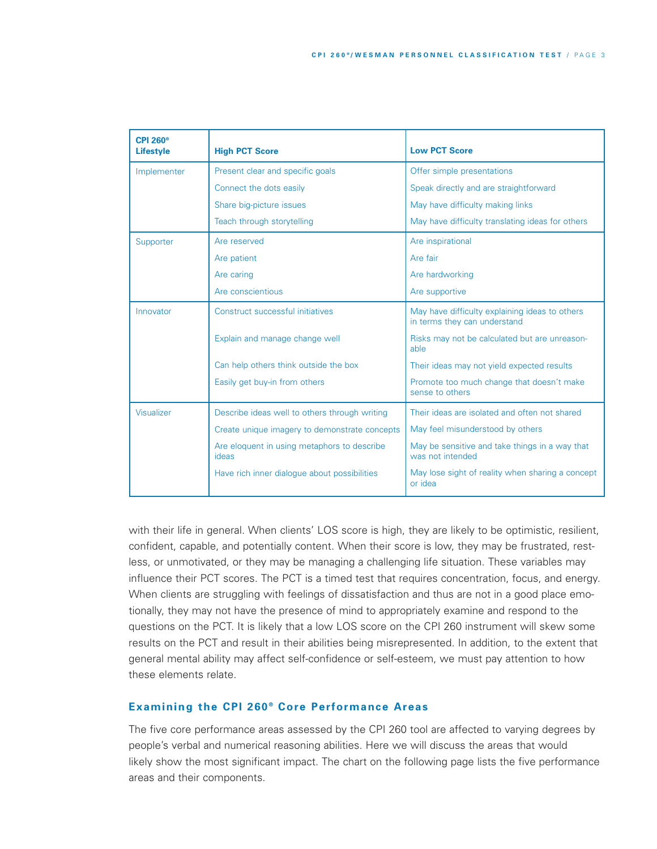| <b>CPI 260<sup>®</sup></b><br><b>Lifestyle</b> | <b>High PCT Score</b>                                | <b>Low PCT Score</b>                                                           |
|------------------------------------------------|------------------------------------------------------|--------------------------------------------------------------------------------|
| Implementer                                    | Present clear and specific goals                     | Offer simple presentations                                                     |
|                                                | Connect the dots easily                              | Speak directly and are straightforward                                         |
|                                                | Share big-picture issues                             | May have difficulty making links                                               |
|                                                | Teach through storytelling                           | May have difficulty translating ideas for others                               |
| Supporter                                      | Are reserved                                         | Are inspirational                                                              |
|                                                | Are patient                                          | Are fair                                                                       |
|                                                | Are caring                                           | Are hardworking                                                                |
|                                                | Are conscientious                                    | Are supportive                                                                 |
| Innovator                                      | Construct successful initiatives                     | May have difficulty explaining ideas to others<br>in terms they can understand |
|                                                | Explain and manage change well                       | Risks may not be calculated but are unreason-<br>able                          |
|                                                | Can help others think outside the box                | Their ideas may not yield expected results                                     |
|                                                | Easily get buy-in from others                        | Promote too much change that doesn't make<br>sense to others                   |
| Visualizer                                     | Describe ideas well to others through writing        | Their ideas are isolated and often not shared                                  |
|                                                | Create unique imagery to demonstrate concepts        | May feel misunderstood by others                                               |
|                                                | Are eloquent in using metaphors to describe<br>ideas | May be sensitive and take things in a way that<br>was not intended             |
|                                                | Have rich inner dialogue about possibilities         | May lose sight of reality when sharing a concept<br>or idea                    |

with their life in general. When clients' LOS score is high, they are likely to be optimistic, resilient, confident, capable, and potentially content. When their score is low, they may be frustrated, restless, or unmotivated, or they may be managing a challenging life situation. These variables may influence their PCT scores. The PCT is a timed test that requires concentration, focus, and energy. When clients are struggling with feelings of dissatisfaction and thus are not in a good place emotionally, they may not have the presence of mind to appropriately examine and respond to the questions on the PCT. It is likely that a low LOS score on the CPI 260 instrument will skew some results on the PCT and result in their abilities being misrepresented. In addition, to the extent that general mental ability may affect self-confidence or self-esteem, we must pay attention to how these elements relate.

## **Examining the CPI 260 ® Core Performance Areas**

The five core performance areas assessed by the CPI 260 tool are affected to varying degrees by people's verbal and numerical reasoning abilities. Here we will discuss the areas that would likely show the most significant impact. The chart on the following page lists the five performance areas and their components.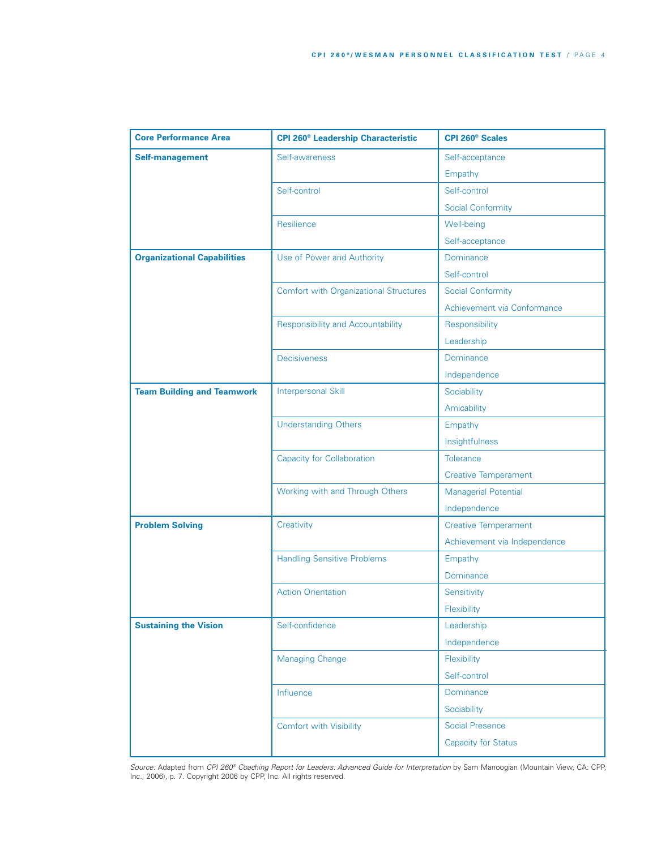| <b>Core Performance Area</b>       | <b>CPI 260<sup>®</sup> Leadership Characteristic</b> | <b>CPI 260<sup>®</sup> Scales</b> |
|------------------------------------|------------------------------------------------------|-----------------------------------|
| <b>Self-management</b>             | Self-awareness                                       | Self-acceptance                   |
|                                    |                                                      | Empathy                           |
|                                    | Self-control                                         | Self-control                      |
|                                    |                                                      | <b>Social Conformity</b>          |
|                                    | Resilience                                           | Well-being                        |
|                                    |                                                      | Self-acceptance                   |
| <b>Organizational Capabilities</b> | Use of Power and Authority                           | Dominance                         |
|                                    |                                                      | Self-control                      |
|                                    | <b>Comfort with Organizational Structures</b>        | <b>Social Conformity</b>          |
|                                    |                                                      | Achievement via Conformance       |
|                                    | <b>Responsibility and Accountability</b>             | Responsibility                    |
|                                    |                                                      | Leadership                        |
|                                    | <b>Decisiveness</b>                                  | Dominance                         |
|                                    |                                                      | Independence                      |
| <b>Team Building and Teamwork</b>  | <b>Interpersonal Skill</b>                           | Sociability                       |
|                                    |                                                      | Amicability                       |
|                                    | <b>Understanding Others</b>                          | Empathy                           |
|                                    |                                                      | Insightfulness                    |
|                                    | <b>Capacity for Collaboration</b>                    | <b>Tolerance</b>                  |
|                                    |                                                      | <b>Creative Temperament</b>       |
|                                    | Working with and Through Others                      | <b>Managerial Potential</b>       |
|                                    |                                                      | Independence                      |
| <b>Problem Solving</b>             | Creativity                                           | <b>Creative Temperament</b>       |
|                                    |                                                      | Achievement via Independence      |
|                                    | <b>Handling Sensitive Problems</b>                   | Empathy                           |
|                                    |                                                      | Dominance                         |
|                                    | <b>Action Orientation</b>                            | Sensitivity                       |
|                                    |                                                      | Flexibility                       |
| <b>Sustaining the Vision</b>       | Self-confidence                                      | Leadership                        |
|                                    |                                                      | Independence                      |
|                                    | <b>Managing Change</b>                               | Flexibility                       |
|                                    |                                                      | Self-control                      |
|                                    | Influence                                            | Dominance                         |
|                                    |                                                      | Sociability                       |
|                                    | <b>Comfort with Visibility</b>                       | <b>Social Presence</b>            |
|                                    |                                                      | <b>Capacity for Status</b>        |

*Source:* Adapted from *CPI 260® Coaching Report for Leaders: Advanced Guide for Interpretation* by Sam Manoogian (Mountain View, CA: CPP, Inc., 2006), p. 7. Copyright 2006 by CPP, Inc. All rights reserved.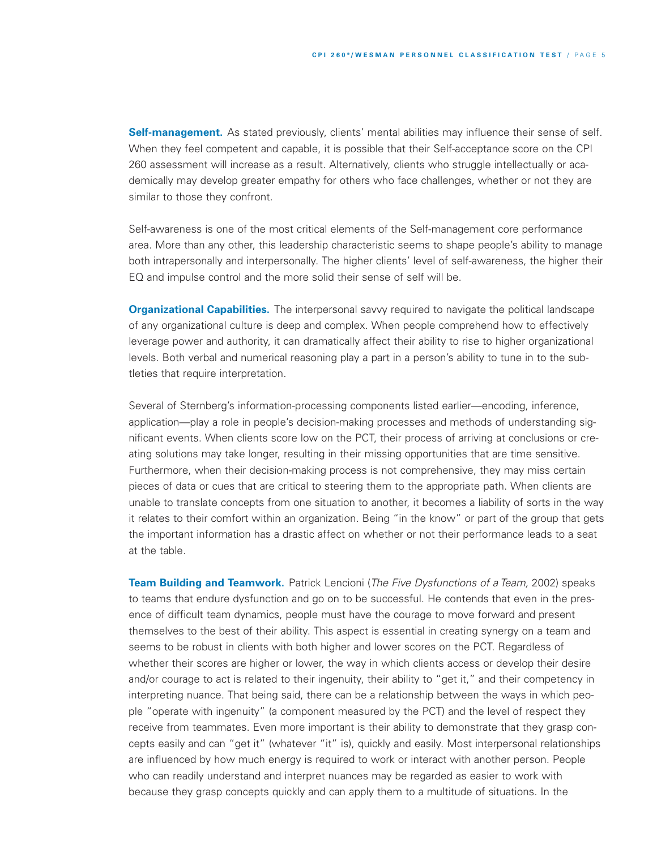**Self-management.** As stated previously, clients' mental abilities may influence their sense of self. When they feel competent and capable, it is possible that their Self-acceptance score on the CPI 260 assessment will increase as a result. Alternatively, clients who struggle intellectually or academically may develop greater empathy for others who face challenges, whether or not they are similar to those they confront.

Self-awareness is one of the most critical elements of the Self-management core performance area. More than any other, this leadership characteristic seems to shape people's ability to manage both intrapersonally and interpersonally. The higher clients' level of self-awareness, the higher their EQ and impulse control and the more solid their sense of self will be.

**Organizational Capabilities.** The interpersonal savvy required to navigate the political landscape of any organizational culture is deep and complex. When people comprehend how to effectively leverage power and authority, it can dramatically affect their ability to rise to higher organizational levels. Both verbal and numerical reasoning play a part in a person's ability to tune in to the subtleties that require interpretation.

Several of Sternberg's information-processing components listed earlier—encoding, inference, application—play a role in people's decision-making processes and methods of understanding significant events. When clients score low on the PCT, their process of arriving at conclusions or creating solutions may take longer, resulting in their missing opportunities that are time sensitive. Furthermore, when their decision-making process is not comprehensive, they may miss certain pieces of data or cues that are critical to steering them to the appropriate path. When clients are unable to translate concepts from one situation to another, it becomes a liability of sorts in the way it relates to their comfort within an organization. Being "in the know" or part of the group that gets the important information has a drastic affect on whether or not their performance leads to a seat at the table.

**Team Building and Teamwork.** Patrick Lencioni (*The Five Dysfunctions of a Team,* 2002) speaks to teams that endure dysfunction and go on to be successful. He contends that even in the presence of difficult team dynamics, people must have the courage to move forward and present themselves to the best of their ability. This aspect is essential in creating synergy on a team and seems to be robust in clients with both higher and lower scores on the PCT. Regardless of whether their scores are higher or lower, the way in which clients access or develop their desire and/or courage to act is related to their ingenuity, their ability to "get it," and their competency in interpreting nuance. That being said, there can be a relationship between the ways in which people "operate with ingenuity" (a component measured by the PCT) and the level of respect they receive from teammates. Even more important is their ability to demonstrate that they grasp concepts easily and can "get it" (whatever "it" is), quickly and easily. Most interpersonal relationships are influenced by how much energy is required to work or interact with another person. People who can readily understand and interpret nuances may be regarded as easier to work with because they grasp concepts quickly and can apply them to a multitude of situations. In the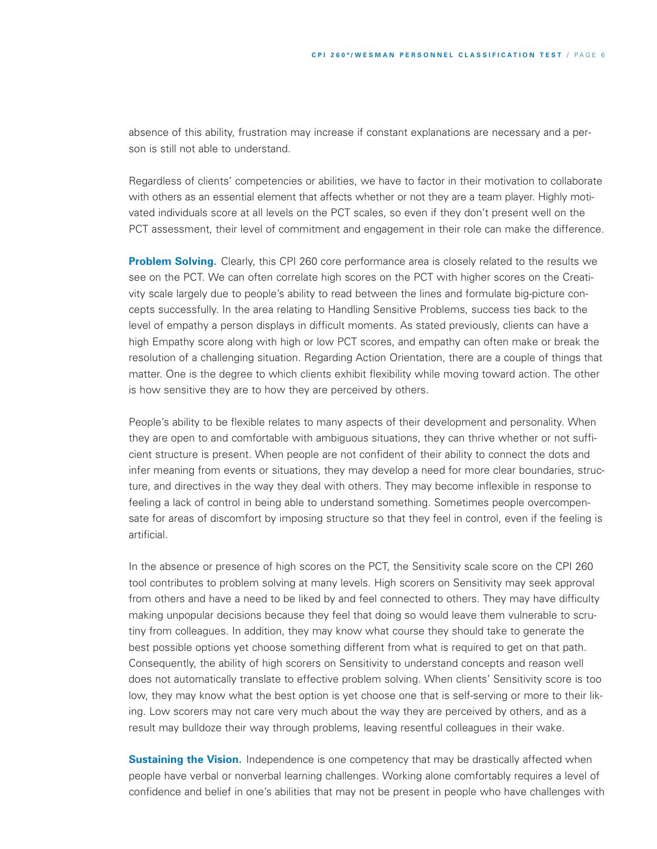absence of this ability, frustration may increase if constant explanations are necessary and a person is still not able to understand.

Regardless of clients' competencies or abilities, we have to factor in their motivation to collaborate with others as an essential element that affects whether or not they are a team player. Highly motivated individuals score at all levels on the PCT scales, so even if they don't present well on the PCT assessment, their level of commitment and engagement in their role can make the difference.

**Problem Solving.** Clearly, this CPI 260 core performance area is closely related to the results we see on the PCT. We can often correlate high scores on the PCT with higher scores on the Creativity scale largely due to people's ability to read between the lines and formulate big-picture concepts successfully. In the area relating to Handling Sensitive Problems, success ties back to the level of empathy a person displays in difficult moments. As stated previously, clients can have a high Empathy score along with high or low PCT scores, and empathy can often make or break the resolution of a challenging situation. Regarding Action Orientation, there are a couple of things that matter. One is the degree to which clients exhibit flexibility while moving toward action. The other is how sensitive they are to how they are perceived by others.

People's ability to be flexible relates to many aspects of their development and personality. When they are open to and comfortable with ambiguous situations, they can thrive whether or not sufficient structure is present. When people are not confident of their ability to connect the dots and infer meaning from events or situations, they may develop a need for more clear boundaries, structure, and directives in the way they deal with others. They may become inflexible in response to feeling a lack of control in being able to understand something. Sometimes people overcompensate for areas of discomfort by imposing structure so that they feel in control, even if the feeling is artificial.

In the absence or presence of high scores on the PCT, the Sensitivity scale score on the CPI 260 tool contributes to problem solving at many levels. High scorers on Sensitivity may seek approval from others and have a need to be liked by and feel connected to others. They may have difficulty making unpopular decisions because they feel that doing so would leave them vulnerable to scrutiny from colleagues. In addition, they may know what course they should take to generate the best possible options yet choose something different from what is required to get on that path. Consequently, the ability of high scorers on Sensitivity to understand concepts and reason well does not automatically translate to effective problem solving. When clients' Sensitivity score is too low, they may know what the best option is yet choose one that is self-serving or more to their liking. Low scorers may not care very much about the way they are perceived by others, and as a result may bulldoze their way through problems, leaving resentful colleagues in their wake.

**Sustaining the Vision.** Independence is one competency that may be drastically affected when people have verbal or nonverbal learning challenges. Working alone comfortably requires a level of confidence and belief in one's abilities that may not be present in people who have challenges with